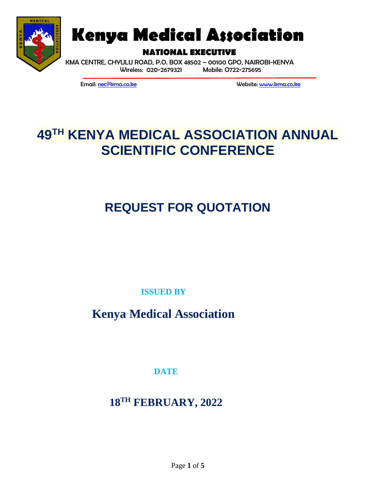

# **Kenya Medical Association**

**NATIONAL EXECUTIVE**

KMA CENTRE, CHYULU ROAD, P.O. BOX 48502 – 00100 GPO, NAIROBI-KENYA Wireless: 020-2679321 Mobile: O722-275695

Email: [nec@kma.co.ke](mailto:nec@kma.co.ke) Website[: www.kma.co.ke](http://www.kma.co.ke/)

## **49 TH KENYA MEDICAL ASSOCIATION ANNUAL SCIENTIFIC CONFERENCE**

# **REQUEST FOR QUOTATION**

**ISSUED BY**

**Kenya Medical Association**

**DATE**

**18TH FEBRUARY, 2022**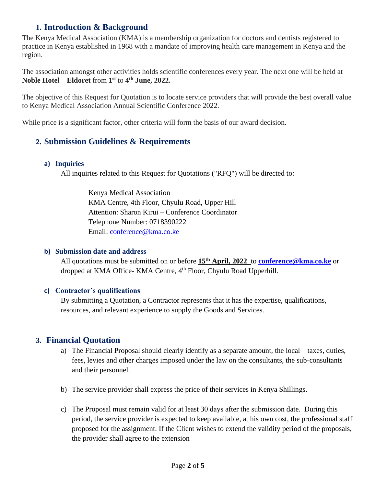#### **1. Introduction & Background**

The Kenya Medical Association (KMA) is a membership organization for doctors and dentists registered to practice in Kenya established in 1968 with a mandate of improving health care management in Kenya and the region.

The association amongst other activities holds scientific conferences every year. The next one will be held at **Noble Hotel – Eldoret** from **1 st** to **4 th June, 2022.**

The objective of this Request for Quotation is to locate service providers that will provide the best overall value to Kenya Medical Association Annual Scientific Conference 2022.

While price is a significant factor, other criteria will form the basis of our award decision.

#### **2. Submission Guidelines & Requirements**

#### **a) Inquiries**

All inquiries related to this Request for Quotations ("RFQ") will be directed to:

Kenya Medical Association KMA Centre, 4th Floor, Chyulu Road, Upper Hill Attention: Sharon Kirui – Conference Coordinator Telephone Number: 0718390222 Email: [conference@kma.co.ke](mailto:conference@kma.co.ke)

#### **b) Submission date and address**

All quotations must be submitted on or before **15th April, 2022** to **[conference@kma.co.ke](mailto:conference@kma.co.ke)** or dropped at KMA Office- KMA Centre, 4th Floor, Chyulu Road Upperhill.

#### **c) Contractor's qualifications**

By submitting a Quotation, a Contractor represents that it has the expertise, qualifications, resources, and relevant experience to supply the Goods and Services.

#### **3. Financial Quotation**

- a) The Financial Proposal should clearly identify as a separate amount, the local taxes, duties, fees, levies and other charges imposed under the law on the consultants, the sub-consultants and their personnel.
- b) The service provider shall express the price of their services in Kenya Shillings.
- c) The Proposal must remain valid for at least 30 days after the submission date. During this period, the service provider is expected to keep available, at his own cost, the professional staff proposed for the assignment. If the Client wishes to extend the validity period of the proposals, the provider shall agree to the extension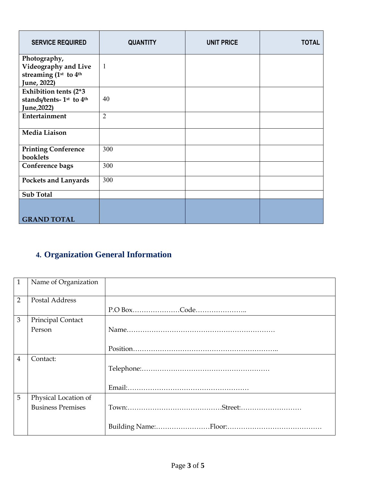| <b>SERVICE REQUIRED</b>                                                                 | <b>QUANTITY</b> | <b>UNIT PRICE</b> | <b>TOTAL</b> |
|-----------------------------------------------------------------------------------------|-----------------|-------------------|--------------|
| Photography,<br>Videography and Live<br>streaming (1st to 4th<br>June, 2022)            | -1              |                   |              |
| Exhibition tents (2*3<br>stands/tents-1 <sup>st</sup> to 4 <sup>th</sup><br>June, 2022) | 40              |                   |              |
| Entertainment                                                                           | $\overline{2}$  |                   |              |
| Media Liaison                                                                           |                 |                   |              |
| <b>Printing Conference</b><br>booklets                                                  | 300             |                   |              |
| Conference bags                                                                         | 300             |                   |              |
| <b>Pockets and Lanyards</b>                                                             | 300             |                   |              |
| <b>Sub Total</b>                                                                        |                 |                   |              |
| <b>GRAND TOTAL</b>                                                                      |                 |                   |              |

### **4. Organization General Information**

| $\mathbf{1}$   | Name of Organization     |  |
|----------------|--------------------------|--|
| $\overline{2}$ | Postal Address           |  |
|                |                          |  |
| 3              | Principal Contact        |  |
|                | Person                   |  |
|                |                          |  |
|                |                          |  |
| 4              | Contact:                 |  |
|                |                          |  |
|                |                          |  |
|                |                          |  |
| 5              | Physical Location of     |  |
|                | <b>Business Premises</b> |  |
|                |                          |  |
|                |                          |  |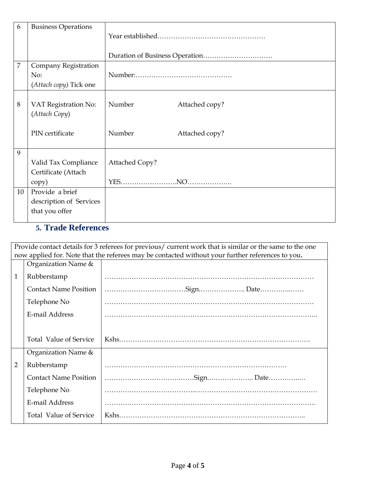| 6  | <b>Business Operations</b>            |                          |
|----|---------------------------------------|--------------------------|
|    |                                       |                          |
| 7  | <b>Company Registration</b>           |                          |
|    | No:                                   |                          |
|    | (Attach copy) Tick one                |                          |
| 8  | VAT Registration No:<br>(Attach Copy) | Number<br>Attached copy? |
|    | PIN certificate                       | Number<br>Attached copy? |
| 9  |                                       |                          |
|    | Valid Tax Compliance                  | <b>Attached Copy?</b>    |
|    | Certificate (Attach                   |                          |
|    | copy)                                 |                          |
| 10 | Provide a brief                       |                          |
|    | description of Services               |                          |
|    | that you offer                        |                          |

### **5. Trade References**

| Provide contact details for 3 referees for previous/ current work that is similar or the same to the one<br>now applied for. Note that the referees may be contacted without your further references to you. |                               |  |
|--------------------------------------------------------------------------------------------------------------------------------------------------------------------------------------------------------------|-------------------------------|--|
|                                                                                                                                                                                                              | Organization Name &           |  |
| 1                                                                                                                                                                                                            | Rubberstamp                   |  |
|                                                                                                                                                                                                              | <b>Contact Name Position</b>  |  |
|                                                                                                                                                                                                              | Telephone No                  |  |
|                                                                                                                                                                                                              | E-mail Address                |  |
|                                                                                                                                                                                                              |                               |  |
|                                                                                                                                                                                                              | <b>Total Value of Service</b> |  |
|                                                                                                                                                                                                              | Organization Name &           |  |
| 2                                                                                                                                                                                                            | Rubberstamp                   |  |
|                                                                                                                                                                                                              | <b>Contact Name Position</b>  |  |
|                                                                                                                                                                                                              | Telephone No                  |  |
|                                                                                                                                                                                                              | E-mail Address                |  |
|                                                                                                                                                                                                              | <b>Total Value of Service</b> |  |